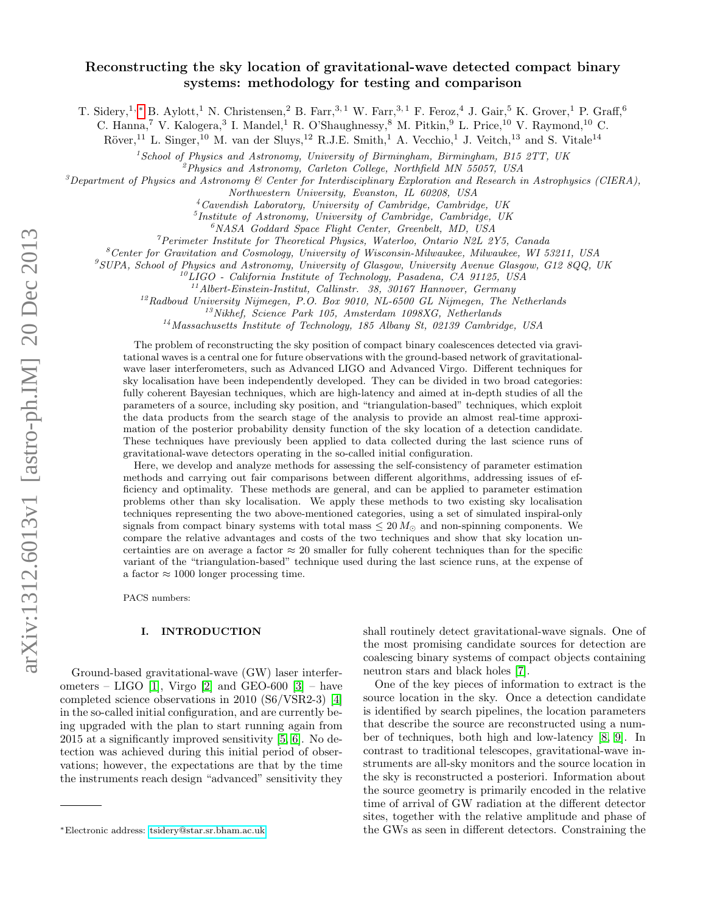# Reconstructing the sky location of gravitational-wave detected compact binary systems: methodology for testing and comparison

T. Sidery,<sup>1, \*</sup> B. Aylott,<sup>1</sup> N. Christensen,<sup>2</sup> B. Farr,<sup>3,1</sup> W. Farr,<sup>3,1</sup> F. Feroz,<sup>4</sup> J. Gair,<sup>5</sup> K. Grover,<sup>1</sup> P. Graff,<sup>6</sup>

C. Hanna,<sup>7</sup> V. Kalogera,<sup>3</sup> I. Mandel,<sup>1</sup> R. O'Shaughnessy,<sup>8</sup> M. Pitkin,<sup>9</sup> L. Price,<sup>10</sup> V. Raymond,<sup>10</sup> C.

 $Röver<sup>11</sup>$  L. Singer,<sup>10</sup> M. van der Sluys,<sup>12</sup> R.J.E. Smith,<sup>1</sup> A. Vecchio,<sup>1</sup> J. Veitch,<sup>13</sup> and S. Vitale<sup>14</sup>

 $1$ School of Physics and Astronomy, University of Birmingham, Birmingham, B15 2TT, UK

 $^{2}$ Physics and Astronomy, Carleton College, Northfield MN 55057, USA

<sup>3</sup>Department of Physics and Astronomy  $\mathscr{B}$  Center for Interdisciplinary Exploration and Research in Astrophysics (CIERA),

Northwestern University, Evanston, IL 60208, USA

 $4$ Cavendish Laboratory, University of Cambridge, Cambridge, UK

5 Institute of Astronomy, University of Cambridge, Cambridge, UK

<sup>6</sup>NASA Goddard Space Flight Center, Greenbelt, MD, USA

 $\gamma$ Perimeter Institute for Theoretical Physics, Waterloo, Ontario N2L 2Y5, Canada

 ${}^8$ Center for Gravitation and Cosmology, University of Wisconsin-Milwaukee, Milwaukee, WI 53211, USA

 $^{9}$ SUPA, School of Physics and Astronomy, University of Glasgow, University Avenue Glasgow, G12 8QQ, UK

 $^{10}$ LIGO - California Institute of Technology, Pasadena, CA 91125, USA

 $^{11}\!$  Albert-Einstein-Institut, Callinstr. 38, 30167 Hannover, Germany

 $12R$ adboud University Nijmegen, P.O. Box 9010, NL-6500 GL Nijmegen, The Netherlands

 $13Nikhef, Science Park 105, Amsterdam 1098XG, Netherlands$ 

<sup>14</sup> Massachusetts Institute of Technology, 185 Albany St, 02139 Cambridge, USA

The problem of reconstructing the sky position of compact binary coalescences detected via gravitational waves is a central one for future observations with the ground-based network of gravitationalwave laser interferometers, such as Advanced LIGO and Advanced Virgo. Different techniques for sky localisation have been independently developed. They can be divided in two broad categories: fully coherent Bayesian techniques, which are high-latency and aimed at in-depth studies of all the parameters of a source, including sky position, and "triangulation-based" techniques, which exploit the data products from the search stage of the analysis to provide an almost real-time approximation of the posterior probability density function of the sky location of a detection candidate. These techniques have previously been applied to data collected during the last science runs of gravitational-wave detectors operating in the so-called initial configuration.

Here, we develop and analyze methods for assessing the self-consistency of parameter estimation methods and carrying out fair comparisons between different algorithms, addressing issues of efficiency and optimality. These methods are general, and can be applied to parameter estimation problems other than sky localisation. We apply these methods to two existing sky localisation techniques representing the two above-mentioned categories, using a set of simulated inspiral-only signals from compact binary systems with total mass  $\leq 20 M_{\odot}$  and non-spinning components. We compare the relative advantages and costs of the two techniques and show that sky location uncertainties are on average a factor  $\approx 20$  smaller for fully coherent techniques than for the specific variant of the "triangulation-based" technique used during the last science runs, at the expense of a factor  $\approx 1000$  longer processing time.

PACS numbers:

### I. INTRODUCTION

Ground-based gravitational-wave (GW) laser interfer-ometers – LIGO [\[1\]](#page-9-0), Virgo [\[2\]](#page-9-1) and GEO-600 [\[3\]](#page-9-2) – have completed science observations in 2010 (S6/VSR2-3) [\[4\]](#page-9-3) in the so-called initial configuration, and are currently being upgraded with the plan to start running again from 2015 at a significantly improved sensitivity [\[5,](#page-9-4) [6\]](#page-9-5). No detection was achieved during this initial period of observations; however, the expectations are that by the time the instruments reach design "advanced" sensitivity they shall routinely detect gravitational-wave signals. One of the most promising candidate sources for detection are coalescing binary systems of compact objects containing neutron stars and black holes [\[7\]](#page-9-6).

One of the key pieces of information to extract is the source location in the sky. Once a detection candidate is identified by search pipelines, the location parameters that describe the source are reconstructed using a number of techniques, both high and low-latency [\[8,](#page-9-7) [9\]](#page-9-8). In contrast to traditional telescopes, gravitational-wave instruments are all-sky monitors and the source location in the sky is reconstructed a posteriori. Information about the source geometry is primarily encoded in the relative time of arrival of GW radiation at the different detector sites, together with the relative amplitude and phase of the GWs as seen in different detectors. Constraining the

<span id="page-0-0"></span><sup>∗</sup>Electronic address: [tsidery@star.sr.bham.ac.uk](mailto:tsidery@star.sr.bham.ac.uk)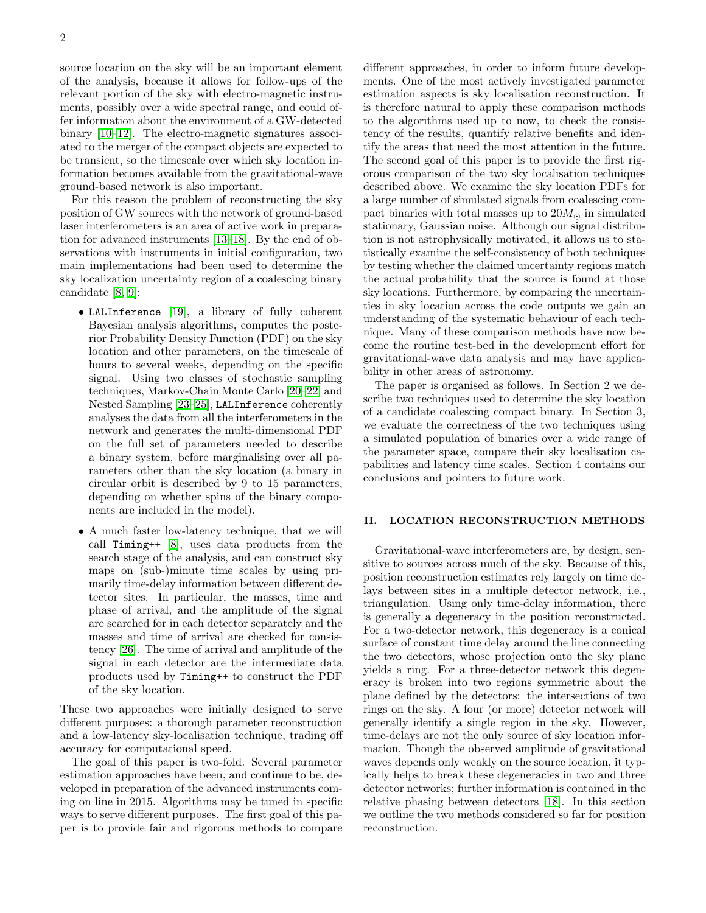source location on the sky will be an important element of the analysis, because it allows for follow-ups of the relevant portion of the sky with electro-magnetic instruments, possibly over a wide spectral range, and could offer information about the environment of a GW-detected binary [\[10–](#page-9-9)[12\]](#page-9-10). The electro-magnetic signatures associated to the merger of the compact objects are expected to be transient, so the timescale over which sky location information becomes available from the gravitational-wave ground-based network is also important.

For this reason the problem of reconstructing the sky position of GW sources with the network of ground-based laser interferometers is an area of active work in preparation for advanced instruments [\[13–](#page-9-11)[18\]](#page-10-0). By the end of observations with instruments in initial configuration, two main implementations had been used to determine the sky localization uncertainty region of a coalescing binary candidate [\[8,](#page-9-7) [9\]](#page-9-8):

- LALInference [\[19\]](#page-10-1), a library of fully coherent Bayesian analysis algorithms, computes the posterior Probability Density Function (PDF) on the sky location and other parameters, on the timescale of hours to several weeks, depending on the specific signal. Using two classes of stochastic sampling techniques, Markov-Chain Monte Carlo [\[20–](#page-10-2)[22\]](#page-10-3) and Nested Sampling [\[23](#page-10-4)[–25\]](#page-10-5), LALInference coherently analyses the data from all the interferometers in the network and generates the multi-dimensional PDF on the full set of parameters needed to describe a binary system, before marginalising over all parameters other than the sky location (a binary in circular orbit is described by 9 to 15 parameters, depending on whether spins of the binary components are included in the model).
- A much faster low-latency technique, that we will call Timing++ [\[8\]](#page-9-7), uses data products from the search stage of the analysis, and can construct sky maps on (sub-)minute time scales by using primarily time-delay information between different detector sites. In particular, the masses, time and phase of arrival, and the amplitude of the signal are searched for in each detector separately and the masses and time of arrival are checked for consistency [\[26\]](#page-10-6). The time of arrival and amplitude of the signal in each detector are the intermediate data products used by Timing++ to construct the PDF of the sky location.

These two approaches were initially designed to serve different purposes: a thorough parameter reconstruction and a low-latency sky-localisation technique, trading off accuracy for computational speed.

The goal of this paper is two-fold. Several parameter estimation approaches have been, and continue to be, developed in preparation of the advanced instruments coming on line in 2015. Algorithms may be tuned in specific ways to serve different purposes. The first goal of this paper is to provide fair and rigorous methods to compare different approaches, in order to inform future developments. One of the most actively investigated parameter estimation aspects is sky localisation reconstruction. It is therefore natural to apply these comparison methods to the algorithms used up to now, to check the consistency of the results, quantify relative benefits and identify the areas that need the most attention in the future. The second goal of this paper is to provide the first rigorous comparison of the two sky localisation techniques described above. We examine the sky location PDFs for a large number of simulated signals from coalescing compact binaries with total masses up to  $20M_{\odot}$  in simulated stationary, Gaussian noise. Although our signal distribution is not astrophysically motivated, it allows us to statistically examine the self-consistency of both techniques by testing whether the claimed uncertainty regions match the actual probability that the source is found at those sky locations. Furthermore, by comparing the uncertainties in sky location across the code outputs we gain an understanding of the systematic behaviour of each technique. Many of these comparison methods have now become the routine test-bed in the development effort for gravitational-wave data analysis and may have applicability in other areas of astronomy.

The paper is organised as follows. In Section 2 we describe two techniques used to determine the sky location of a candidate coalescing compact binary. In Section 3, we evaluate the correctness of the two techniques using a simulated population of binaries over a wide range of the parameter space, compare their sky localisation capabilities and latency time scales. Section 4 contains our conclusions and pointers to future work.

## II. LOCATION RECONSTRUCTION METHODS

Gravitational-wave interferometers are, by design, sensitive to sources across much of the sky. Because of this, position reconstruction estimates rely largely on time delays between sites in a multiple detector network, i.e., triangulation. Using only time-delay information, there is generally a degeneracy in the position reconstructed. For a two-detector network, this degeneracy is a conical surface of constant time delay around the line connecting the two detectors, whose projection onto the sky plane yields a ring. For a three-detector network this degeneracy is broken into two regions symmetric about the plane defined by the detectors: the intersections of two rings on the sky. A four (or more) detector network will generally identify a single region in the sky. However, time-delays are not the only source of sky location information. Though the observed amplitude of gravitational waves depends only weakly on the source location, it typically helps to break these degeneracies in two and three detector networks; further information is contained in the relative phasing between detectors [\[18\]](#page-10-0). In this section we outline the two methods considered so far for position reconstruction.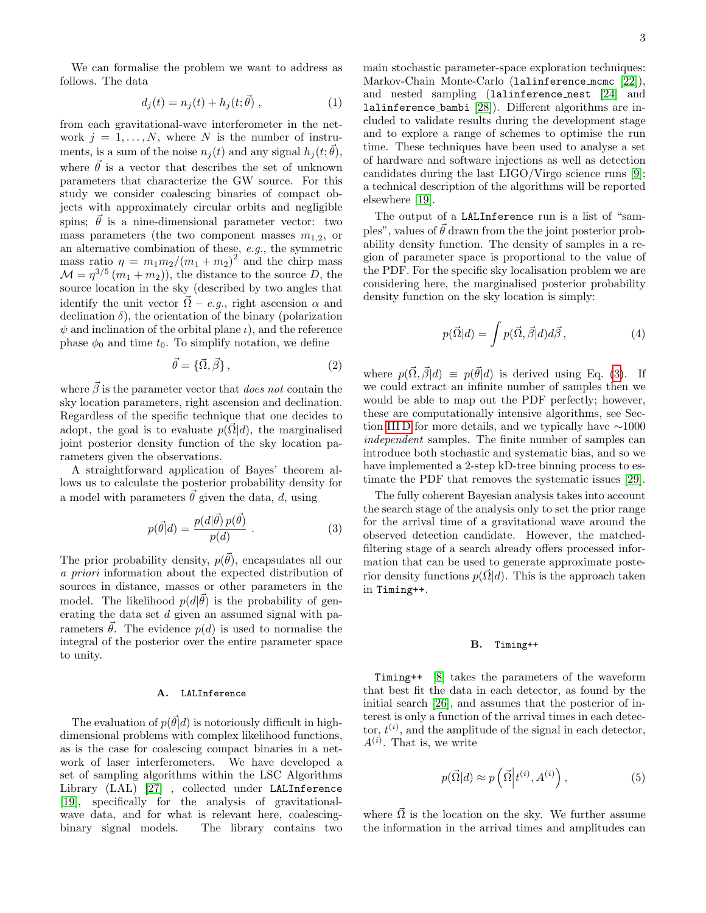3

We can formalise the problem we want to address as follows. The data

$$
d_j(t) = n_j(t) + h_j(t; \vec{\theta}), \qquad (1)
$$

from each gravitational-wave interferometer in the network  $j = 1, ..., N$ , where N is the number of instruments, is a sum of the noise  $n_j(t)$  and any signal  $h_j(t; \vec{\theta})$ , where  $\vec{\theta}$  is a vector that describes the set of unknown parameters that characterize the GW source. For this study we consider coalescing binaries of compact objects with approximately circular orbits and negligible spins;  $\vec{\theta}$  is a nine-dimensional parameter vector: two mass parameters (the two component masses  $m_{1,2}$ , or an alternative combination of these, e.g., the symmetric mass ratio  $\eta = m_1 m_2/(m_1 + m_2)^2$  and the chirp mass  $\mathcal{M} = \eta^{3/5} (m_1 + m_2)$ , the distance to the source D, the source location in the sky (described by two angles that identify the unit vector  $\vec{\Omega}$  – e.g., right ascension  $\alpha$  and declination  $\delta$ ), the orientation of the binary (polarization  $\psi$  and inclination of the orbital plane  $\iota$ ), and the reference phase  $\phi_0$  and time  $t_0$ . To simplify notation, we define

$$
\vec{\theta} = \{\vec{\Omega}, \vec{\beta}\},\tag{2}
$$

where  $\vec{\beta}$  is the parameter vector that *does not* contain the sky location parameters, right ascension and declination. Regardless of the specific technique that one decides to adopt, the goal is to evaluate  $p(\vec{\Omega}|d)$ , the marginalised joint posterior density function of the sky location parameters given the observations.

A straightforward application of Bayes' theorem allows us to calculate the posterior probability density for a model with parameters  $\vec{\theta}$  given the data, d, using

<span id="page-2-0"></span>
$$
p(\vec{\theta}|d) = \frac{p(d|\vec{\theta})p(\vec{\theta})}{p(d)}.
$$
 (3)

The prior probability density,  $p(\vec{\theta})$ , encapsulates all our a priori information about the expected distribution of sources in distance, masses or other parameters in the model. The likelihood  $p(d|\vec{\theta})$  is the probability of generating the data set d given an assumed signal with parameters  $\vec{\theta}$ . The evidence  $p(d)$  is used to normalise the integral of the posterior over the entire parameter space to unity.

### A. LALInference

The evaluation of  $p(\vec{\theta}|d)$  is notoriously difficult in highdimensional problems with complex likelihood functions, as is the case for coalescing compact binaries in a network of laser interferometers. We have developed a set of sampling algorithms within the LSC Algorithms Library (LAL) [\[27\]](#page-10-7) , collected under LALInference [\[19\]](#page-10-1), specifically for the analysis of gravitationalwave data, and for what is relevant here, coalescingbinary signal models. The library contains two main stochastic parameter-space exploration techniques: Markov-Chain Monte-Carlo (lalinference mcmc [\[22\]](#page-10-3)), and nested sampling (lalinference nest [\[24\]](#page-10-8) and lalinference bambi [\[28\]](#page-10-9)). Different algorithms are included to validate results during the development stage and to explore a range of schemes to optimise the run time. These techniques have been used to analyse a set of hardware and software injections as well as detection candidates during the last LIGO/Virgo science runs [\[9\]](#page-9-8); a technical description of the algorithms will be reported elsewhere [\[19\]](#page-10-1).

The output of a LALInference run is a list of "samples", values of  $\vec{\theta}$  drawn from the the joint posterior probability density function. The density of samples in a region of parameter space is proportional to the value of the PDF. For the specific sky localisation problem we are considering here, the marginalised posterior probability density function on the sky location is simply:

<span id="page-2-1"></span>
$$
p(\vec{\Omega}|d) = \int p(\vec{\Omega}, \vec{\beta}|d)d\vec{\beta}, \qquad (4)
$$

where  $p(\vec{\Omega}, \vec{\beta}|d) \equiv p(\vec{\theta}|d)$  is derived using Eq. [\(3\)](#page-2-0). If we could extract an infinite number of samples then we would be able to map out the PDF perfectly; however, these are computationally intensive algorithms, see Section [III D](#page-7-0) for more details, and we typically have ∼1000 independent samples. The finite number of samples can introduce both stochastic and systematic bias, and so we have implemented a 2-step kD-tree binning process to estimate the PDF that removes the systematic issues [\[29\]](#page-10-10).

The fully coherent Bayesian analysis takes into account the search stage of the analysis only to set the prior range for the arrival time of a gravitational wave around the observed detection candidate. However, the matchedfiltering stage of a search already offers processed information that can be used to generate approximate posterior density functions  $p(\vec{\Omega}|d)$ . This is the approach taken in Timing++.

### B. Timing++

Timing++ [\[8\]](#page-9-7) takes the parameters of the waveform that best fit the data in each detector, as found by the initial search [\[26\]](#page-10-6), and assumes that the posterior of interest is only a function of the arrival times in each detector,  $t^{(i)}$ , and the amplitude of the signal in each detector,  $A^{(i)}$ . That is, we write

$$
p(\vec{\Omega}|d) \approx p\left(\vec{\Omega}\Big|t^{(i)}, A^{(i)}\right),\tag{5}
$$

where  $\vec{\Omega}$  is the location on the sky. We further assume the information in the arrival times and amplitudes can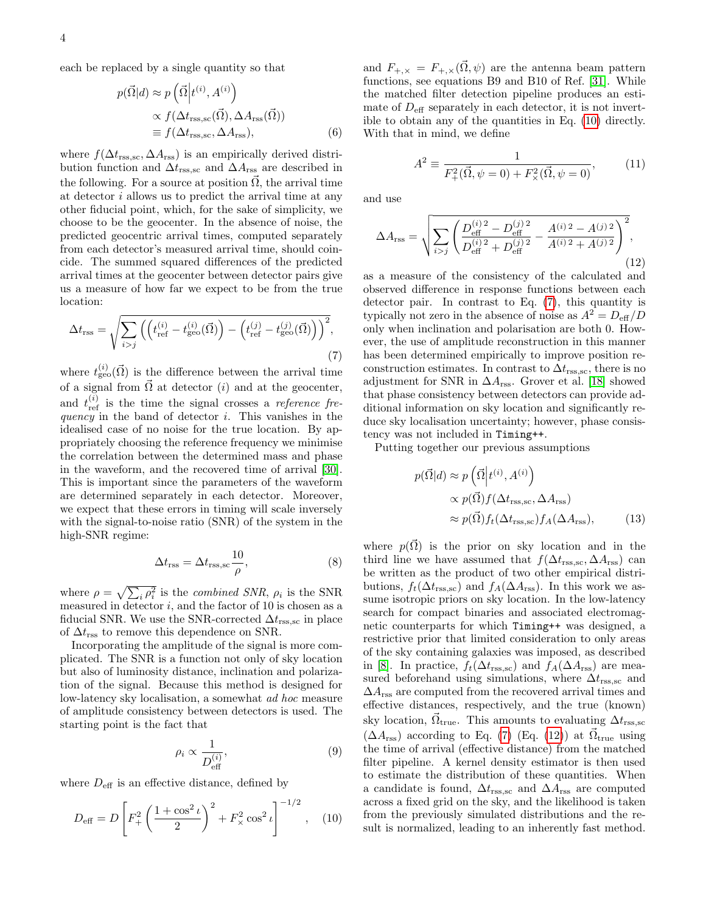each be replaced by a single quantity so that

$$
p(\vec{\Omega}|d) \approx p\left(\vec{\Omega}\Big|t^{(i)}, A^{(i)}\right)
$$

$$
\propto f(\Delta t_{\rm rss,sc}(\vec{\Omega}), \Delta A_{\rm rss}(\vec{\Omega}))
$$

$$
\equiv f(\Delta t_{\rm rss,sc}, \Delta A_{\rm rss}), \tag{6}
$$

where  $f(\Delta t_{\rm rss,sc}, \Delta A_{\rm rss})$  is an empirically derived distribution function and  $\Delta t_{\rm rss,sc}$  and  $\Delta A_{\rm rss}$  are described in the following. For a source at position  $\vec{\Omega}$ , the arrival time at detector i allows us to predict the arrival time at any other fiducial point, which, for the sake of simplicity, we choose to be the geocenter. In the absence of noise, the predicted geocentric arrival times, computed separately from each detector's measured arrival time, should coincide. The summed squared differences of the predicted arrival times at the geocenter between detector pairs give us a measure of how far we expect to be from the true location:

<span id="page-3-1"></span>
$$
\Delta t_{\rm rss} = \sqrt{\sum_{i > j} \left( \left( t_{\rm ref}^{(i)} - t_{\rm geo}^{(i)}(\vec{\Omega}) \right) - \left( t_{\rm ref}^{(j)} - t_{\rm geo}^{(j)}(\vec{\Omega}) \right) \right)^2},\tag{7}
$$

where  $t_{\text{geo}}^{(i)}(\vec{\Omega})$  is the difference between the arrival time of a signal from  $\vec{\Omega}$  at detector (*i*) and at the geocenter, and  $t_{\text{ref}}^{(i)}$  is the time the signal crosses a *reference fre*quency in the band of detector  $i$ . This vanishes in the idealised case of no noise for the true location. By appropriately choosing the reference frequency we minimise the correlation between the determined mass and phase in the waveform, and the recovered time of arrival [\[30\]](#page-10-11). This is important since the parameters of the waveform are determined separately in each detector. Moreover, we expect that these errors in timing will scale inversely with the signal-to-noise ratio (SNR) of the system in the high-SNR regime:

$$
\Delta t_{\rm rss} = \Delta t_{\rm rss, sc} \frac{10}{\rho},\tag{8}
$$

where  $\rho = \sqrt{\sum_i \rho_i^2}$  is the *combined SNR*,  $\rho_i$  is the SNR measured in detector  $i$ , and the factor of 10 is chosen as a fiducial SNR. We use the SNR-corrected  $\Delta t_{\rm rss,sc}$  in place of  $\Delta t_{\rm rss}$  to remove this dependence on SNR.

Incorporating the amplitude of the signal is more complicated. The SNR is a function not only of sky location but also of luminosity distance, inclination and polarization of the signal. Because this method is designed for low-latency sky localisation, a somewhat ad hoc measure of amplitude consistency between detectors is used. The starting point is the fact that

$$
\rho_i \propto \frac{1}{D_{\text{eff}}^{(i)}},\tag{9}
$$

where  $D_{\text{eff}}$  is an effective distance, defined by

<span id="page-3-0"></span>
$$
D_{\text{eff}} = D \left[ F_+^2 \left( \frac{1 + \cos^2 \iota}{2} \right)^2 + F_\times^2 \cos^2 \iota \right]^{-1/2}, \quad (10)
$$

and  $F_{+,\times} = F_{+,\times}(\overline{\Omega}, \psi)$  are the antenna beam pattern functions, see equations B9 and B10 of Ref. [\[31\]](#page-10-12). While the matched filter detection pipeline produces an estimate of  $D_{\text{eff}}$  separately in each detector, it is not invertible to obtain any of the quantities in Eq. [\(10\)](#page-3-0) directly. With that in mind, we define

$$
A^{2} \equiv \frac{1}{F_{+}^{2}(\vec{\Omega}, \psi = 0) + F_{\times}^{2}(\vec{\Omega}, \psi = 0)},
$$
 (11)

and use

<span id="page-3-2"></span>
$$
\Delta A_{\rm rss} = \sqrt{\sum_{i>j} \left( \frac{D_{\rm eff}^{(i)2} - D_{\rm eff}^{(j)2}}{D_{\rm eff}^{(i)2} + D_{\rm eff}^{(j)2}} - \frac{A^{(i)2} - A^{(j)2}}{A^{(i)2} + A^{(j)2}} \right)^2},\tag{12}
$$

as a measure of the consistency of the calculated and observed difference in response functions between each detector pair. In contrast to Eq. [\(7\)](#page-3-1), this quantity is typically not zero in the absence of noise as  $A^2 = D_{\text{eff}}/D$ only when inclination and polarisation are both 0. However, the use of amplitude reconstruction in this manner has been determined empirically to improve position reconstruction estimates. In contrast to  $\Delta t_{\rm rss,sc}$ , there is no adjustment for SNR in  $\Delta A_{\rm rss}$ . Grover et al. [\[18\]](#page-10-0) showed that phase consistency between detectors can provide additional information on sky location and significantly reduce sky localisation uncertainty; however, phase consistency was not included in Timing++.

Putting together our previous assumptions

<span id="page-3-3"></span>
$$
p(\vec{\Omega}|d) \approx p\left(\vec{\Omega}\Big|t^{(i)}, A^{(i)}\right)
$$

$$
\propto p(\vec{\Omega})f(\Delta t_{\rm rss,sc}, \Delta A_{\rm rss})
$$

$$
\approx p(\vec{\Omega})f_t(\Delta t_{\rm rss,sc})f_A(\Delta A_{\rm rss}), \tag{13}
$$

where  $p(\vec{\Omega})$  is the prior on sky location and in the third line we have assumed that  $f(\Delta t_{\rm rss,sc}, \Delta A_{\rm rss})$  can be written as the product of two other empirical distributions,  $f_t(\Delta t_{\text{rss.}sc})$  and  $f_A(\Delta A_{\text{rss}})$ . In this work we assume isotropic priors on sky location. In the low-latency search for compact binaries and associated electromagnetic counterparts for which Timing++ was designed, a restrictive prior that limited consideration to only areas of the sky containing galaxies was imposed, as described in [\[8\]](#page-9-7). In practice,  $f_t(\Delta t_{\text{rss,sc}})$  and  $f_A(\Delta A_{\text{rss}})$  are measured beforehand using simulations, where  $\Delta t_{\rm rss,sc}$  and  $\Delta A_{\rm rss}$  are computed from the recovered arrival times and effective distances, respectively, and the true (known) sky location,  $\vec{\Omega}_{\text{true}}$ . This amounts to evaluating  $\Delta t_{\text{rss,sc}}$  $(\Delta A_{\text{rss}})$  according to Eq. [\(7\)](#page-3-1) (Eq. [\(12\)](#page-3-2)) at  $\vec{\Omega}_{\text{true}}$  using the time of arrival (effective distance) from the matched filter pipeline. A kernel density estimator is then used to estimate the distribution of these quantities. When a candidate is found,  $\Delta t_{\rm rss,sc}$  and  $\Delta A_{\rm rss}$  are computed across a fixed grid on the sky, and the likelihood is taken from the previously simulated distributions and the result is normalized, leading to an inherently fast method.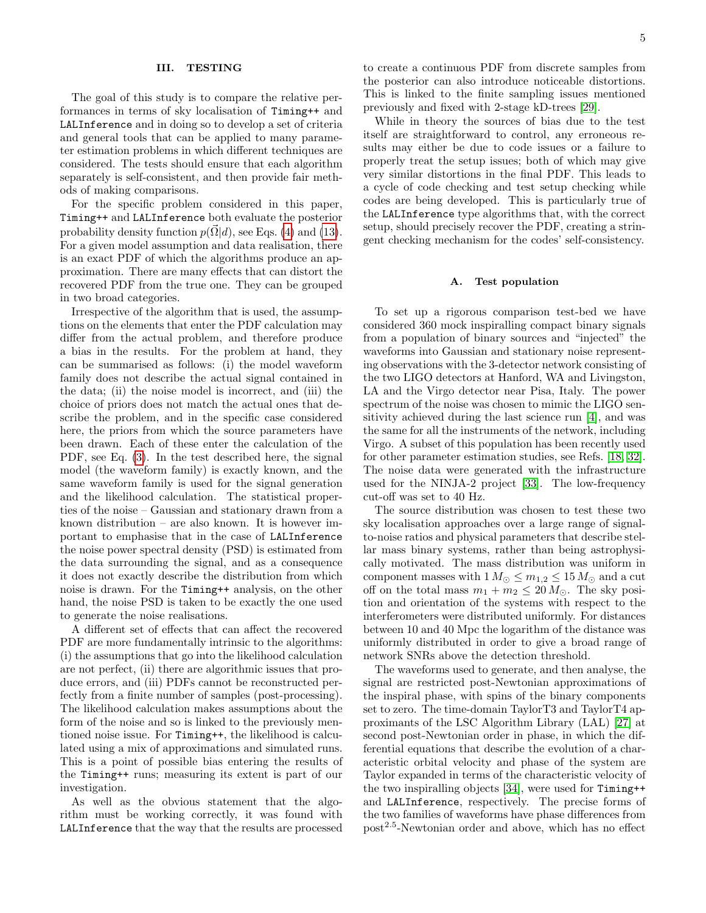### <span id="page-4-0"></span>III. TESTING

The goal of this study is to compare the relative performances in terms of sky localisation of Timing++ and LALInference and in doing so to develop a set of criteria and general tools that can be applied to many parameter estimation problems in which different techniques are considered. The tests should ensure that each algorithm separately is self-consistent, and then provide fair methods of making comparisons.

For the specific problem considered in this paper, Timing++ and LALInference both evaluate the posterior probability density function  $p(\vec{\Omega}|d)$ , see Eqs. [\(4\)](#page-2-1) and [\(13\)](#page-3-3). For a given model assumption and data realisation, there is an exact PDF of which the algorithms produce an approximation. There are many effects that can distort the recovered PDF from the true one. They can be grouped in two broad categories.

Irrespective of the algorithm that is used, the assumptions on the elements that enter the PDF calculation may differ from the actual problem, and therefore produce a bias in the results. For the problem at hand, they can be summarised as follows: (i) the model waveform family does not describe the actual signal contained in the data; (ii) the noise model is incorrect, and (iii) the choice of priors does not match the actual ones that describe the problem, and in the specific case considered here, the priors from which the source parameters have been drawn. Each of these enter the calculation of the PDF, see Eq. [\(3\)](#page-2-0). In the test described here, the signal model (the waveform family) is exactly known, and the same waveform family is used for the signal generation and the likelihood calculation. The statistical properties of the noise – Gaussian and stationary drawn from a known distribution – are also known. It is however important to emphasise that in the case of LALInference the noise power spectral density (PSD) is estimated from the data surrounding the signal, and as a consequence it does not exactly describe the distribution from which noise is drawn. For the Timing++ analysis, on the other hand, the noise PSD is taken to be exactly the one used to generate the noise realisations.

A different set of effects that can affect the recovered PDF are more fundamentally intrinsic to the algorithms: (i) the assumptions that go into the likelihood calculation are not perfect, (ii) there are algorithmic issues that produce errors, and (iii) PDFs cannot be reconstructed perfectly from a finite number of samples (post-processing). The likelihood calculation makes assumptions about the form of the noise and so is linked to the previously mentioned noise issue. For Timing++, the likelihood is calculated using a mix of approximations and simulated runs. This is a point of possible bias entering the results of the Timing++ runs; measuring its extent is part of our investigation.

As well as the obvious statement that the algorithm must be working correctly, it was found with LALInference that the way that the results are processed to create a continuous PDF from discrete samples from the posterior can also introduce noticeable distortions. This is linked to the finite sampling issues mentioned previously and fixed with 2-stage kD-trees [\[29\]](#page-10-10).

While in theory the sources of bias due to the test itself are straightforward to control, any erroneous results may either be due to code issues or a failure to properly treat the setup issues; both of which may give very similar distortions in the final PDF. This leads to a cycle of code checking and test setup checking while codes are being developed. This is particularly true of the LALInference type algorithms that, with the correct setup, should precisely recover the PDF, creating a stringent checking mechanism for the codes' self-consistency.

#### A. Test population

To set up a rigorous comparison test-bed we have considered 360 mock inspiralling compact binary signals from a population of binary sources and "injected" the waveforms into Gaussian and stationary noise representing observations with the 3-detector network consisting of the two LIGO detectors at Hanford, WA and Livingston, LA and the Virgo detector near Pisa, Italy. The power spectrum of the noise was chosen to mimic the LIGO sensitivity achieved during the last science run [\[4\]](#page-9-3), and was the same for all the instruments of the network, including Virgo. A subset of this population has been recently used for other parameter estimation studies, see Refs. [\[18,](#page-10-0) [32\]](#page-10-13). The noise data were generated with the infrastructure used for the NINJA-2 project [\[33\]](#page-10-14). The low-frequency cut-off was set to 40 Hz.

The source distribution was chosen to test these two sky localisation approaches over a large range of signalto-noise ratios and physical parameters that describe stellar mass binary systems, rather than being astrophysically motivated. The mass distribution was uniform in component masses with  $1 M_{\odot} \leq m_{1,2} \leq 15 M_{\odot}$  and a cut off on the total mass  $m_1 + m_2 \leq 20 M_{\odot}$ . The sky position and orientation of the systems with respect to the interferometers were distributed uniformly. For distances between 10 and 40 Mpc the logarithm of the distance was uniformly distributed in order to give a broad range of network SNRs above the detection threshold.

The waveforms used to generate, and then analyse, the signal are restricted post-Newtonian approximations of the inspiral phase, with spins of the binary components set to zero. The time-domain TaylorT3 and TaylorT4 approximants of the LSC Algorithm Library (LAL) [\[27\]](#page-10-7) at second post-Newtonian order in phase, in which the differential equations that describe the evolution of a characteristic orbital velocity and phase of the system are Taylor expanded in terms of the characteristic velocity of the two inspiralling objects [\[34\]](#page-10-15), were used for Timing++ and LALInference, respectively. The precise forms of the two families of waveforms have phase differences from post<sup>2</sup>.<sup>5</sup> -Newtonian order and above, which has no effect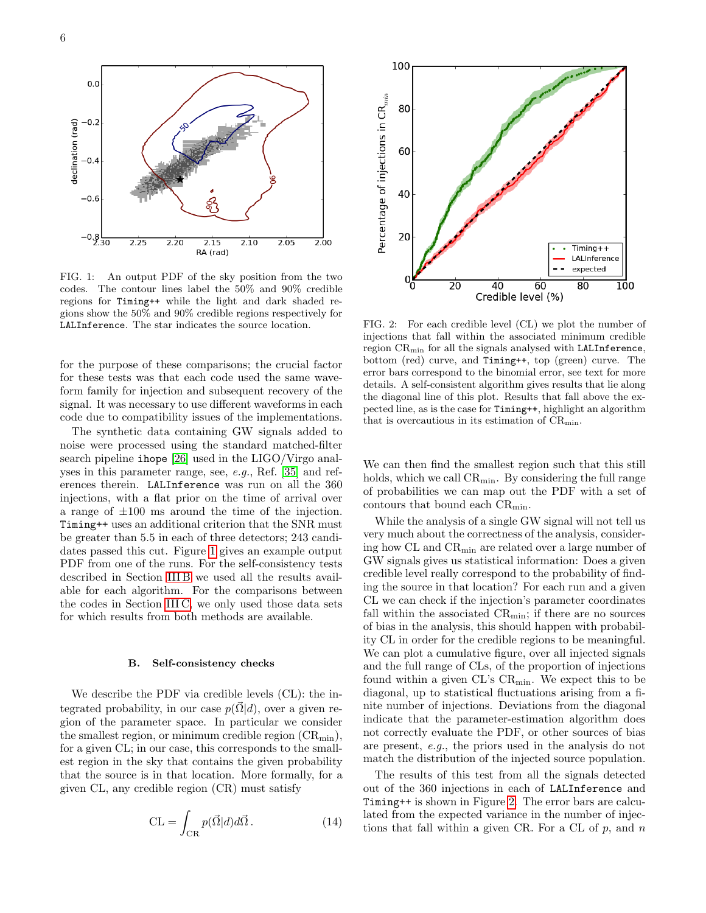

<span id="page-5-0"></span>FIG. 1: An output PDF of the sky position from the two codes. The contour lines label the 50% and 90% credible regions for Timing++ while the light and dark shaded regions show the 50% and 90% credible regions respectively for LALInference. The star indicates the source location.

for the purpose of these comparisons; the crucial factor for these tests was that each code used the same waveform family for injection and subsequent recovery of the signal. It was necessary to use different waveforms in each code due to compatibility issues of the implementations.

The synthetic data containing GW signals added to noise were processed using the standard matched-filter search pipeline ihope [\[26\]](#page-10-6) used in the LIGO/Virgo analyses in this parameter range, see, e.g., Ref. [\[35\]](#page-10-16) and references therein. LALInference was run on all the 360 injections, with a flat prior on the time of arrival over a range of  $\pm 100$  ms around the time of the injection. Timing++ uses an additional criterion that the SNR must be greater than 5.5 in each of three detectors; 243 candidates passed this cut. Figure [1](#page-5-0) gives an example output PDF from one of the runs. For the self-consistency tests described in Section [III B](#page-5-1) we used all the results available for each algorithm. For the comparisons between the codes in Section [III C,](#page-6-0) we only used those data sets for which results from both methods are available.

#### <span id="page-5-1"></span>B. Self-consistency checks

We describe the PDF via credible levels (CL): the integrated probability, in our case  $p(\vec{\Omega} | d)$ , over a given region of the parameter space. In particular we consider the smallest region, or minimum credible region  $(CR_{min})$ , for a given CL; in our case, this corresponds to the smallest region in the sky that contains the given probability that the source is in that location. More formally, for a given CL, any credible region (CR) must satisfy

$$
CL = \int_{CR} p(\vec{\Omega}|d)d\vec{\Omega}.
$$
 (14)



<span id="page-5-2"></span>FIG. 2: For each credible level (CL) we plot the number of injections that fall within the associated minimum credible region CRmin for all the signals analysed with LALInference, bottom (red) curve, and Timing++, top (green) curve. The error bars correspond to the binomial error, see text for more details. A self-consistent algorithm gives results that lie along the diagonal line of this plot. Results that fall above the expected line, as is the case for Timing++, highlight an algorithm that is overcautious in its estimation of  $CR_{min}$ .

We can then find the smallest region such that this still holds, which we call  $CR_{\text{min}}$ . By considering the full range of probabilities we can map out the PDF with a set of contours that bound each  $CR_{min}$ .

While the analysis of a single GW signal will not tell us very much about the correctness of the analysis, considering how CL and  $CR_{\min}$  are related over a large number of GW signals gives us statistical information: Does a given credible level really correspond to the probability of finding the source in that location? For each run and a given CL we can check if the injection's parameter coordinates fall within the associated  $CR_{\text{min}}$ ; if there are no sources of bias in the analysis, this should happen with probability CL in order for the credible regions to be meaningful. We can plot a cumulative figure, over all injected signals and the full range of CLs, of the proportion of injections found within a given  $CL$ 's  $CR_{min}$ . We expect this to be diagonal, up to statistical fluctuations arising from a finite number of injections. Deviations from the diagonal indicate that the parameter-estimation algorithm does not correctly evaluate the PDF, or other sources of bias are present, e.g., the priors used in the analysis do not match the distribution of the injected source population.

The results of this test from all the signals detected out of the 360 injections in each of LALInference and Timing++ is shown in Figure [2.](#page-5-2) The error bars are calculated from the expected variance in the number of injections that fall within a given CR. For a CL of  $p$ , and  $n$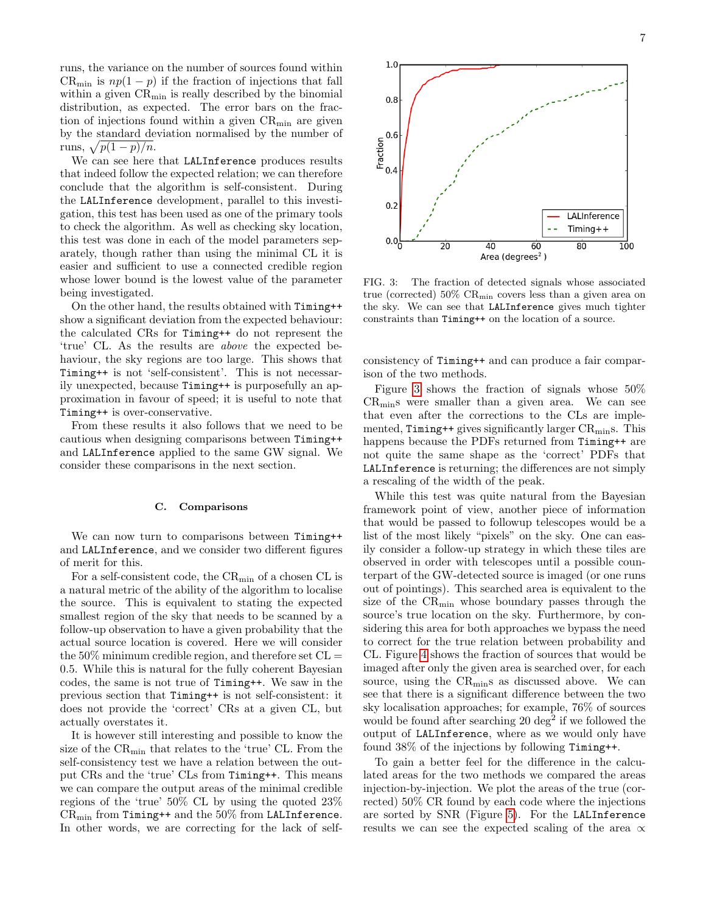runs, the variance on the number of sources found within  $CR_{\text{min}}$  is  $np(1-p)$  if the fraction of injections that fall within a given  $CR_{min}$  is really described by the binomial distribution, as expected. The error bars on the fraction of injections found within a given  $CR_{\text{min}}$  are given by the standard deviation normalised by the number of runs,  $\sqrt{p(1-p)/n}$ .

We can see here that LALInference produces results that indeed follow the expected relation; we can therefore conclude that the algorithm is self-consistent. During the LALInference development, parallel to this investigation, this test has been used as one of the primary tools to check the algorithm. As well as checking sky location, this test was done in each of the model parameters separately, though rather than using the minimal CL it is easier and sufficient to use a connected credible region whose lower bound is the lowest value of the parameter being investigated.

On the other hand, the results obtained with Timing++ show a significant deviation from the expected behaviour: the calculated CRs for Timing++ do not represent the 'true' CL. As the results are above the expected behaviour, the sky regions are too large. This shows that Timing++ is not 'self-consistent'. This is not necessarily unexpected, because Timing++ is purposefully an approximation in favour of speed; it is useful to note that Timing++ is over-conservative.

From these results it also follows that we need to be cautious when designing comparisons between Timing++ and LALInference applied to the same GW signal. We consider these comparisons in the next section.

### <span id="page-6-0"></span>C. Comparisons

We can now turn to comparisons between Timing++ and LALInference, and we consider two different figures of merit for this.

For a self-consistent code, the CR<sub>min</sub> of a chosen CL is a natural metric of the ability of the algorithm to localise the source. This is equivalent to stating the expected smallest region of the sky that needs to be scanned by a follow-up observation to have a given probability that the actual source location is covered. Here we will consider the  $50\%$  minimum credible region, and therefore set  $CL =$ 0.5. While this is natural for the fully coherent Bayesian codes, the same is not true of Timing++. We saw in the previous section that Timing++ is not self-consistent: it does not provide the 'correct' CRs at a given CL, but actually overstates it.

It is however still interesting and possible to know the size of the  $CR_{\text{min}}$  that relates to the 'true' CL. From the self-consistency test we have a relation between the output CRs and the 'true' CLs from Timing++. This means we can compare the output areas of the minimal credible regions of the 'true' 50% CL by using the quoted 23%  $CR_{\text{min}}$  from Timing++ and the 50% from LALInference. In other words, we are correcting for the lack of self-



<span id="page-6-1"></span>FIG. 3: The fraction of detected signals whose associated true (corrected)  $50\%$  CR<sub>min</sub> covers less than a given area on the sky. We can see that LALInference gives much tighter constraints than Timing++ on the location of a source.

consistency of Timing++ and can produce a fair comparison of the two methods.

Figure [3](#page-6-1) shows the fraction of signals whose 50% CRmins were smaller than a given area. We can see that even after the corrections to the CLs are implemented,  $T$ iming++ gives significantly larger  $CR<sub>min</sub>$ s. This happens because the PDFs returned from Timing++ are not quite the same shape as the 'correct' PDFs that LALInference is returning; the differences are not simply a rescaling of the width of the peak.

While this test was quite natural from the Bayesian framework point of view, another piece of information that would be passed to followup telescopes would be a list of the most likely "pixels" on the sky. One can easily consider a follow-up strategy in which these tiles are observed in order with telescopes until a possible counterpart of the GW-detected source is imaged (or one runs out of pointings). This searched area is equivalent to the size of the CRmin whose boundary passes through the source's true location on the sky. Furthermore, by considering this area for both approaches we bypass the need to correct for the true relation between probability and CL. Figure [4](#page-7-1) shows the fraction of sources that would be imaged after only the given area is searched over, for each source, using the  $CR_{\text{min}}s$  as discussed above. We can see that there is a significant difference between the two sky localisation approaches; for example, 76% of sources would be found after searching  $20 \text{ deg}^2$  if we followed the output of LALInference, where as we would only have found 38% of the injections by following Timing++.

To gain a better feel for the difference in the calculated areas for the two methods we compared the areas injection-by-injection. We plot the areas of the true (corrected) 50% CR found by each code where the injections are sorted by SNR (Figure [5\)](#page-7-2). For the LALInference results we can see the expected scaling of the area  $\alpha$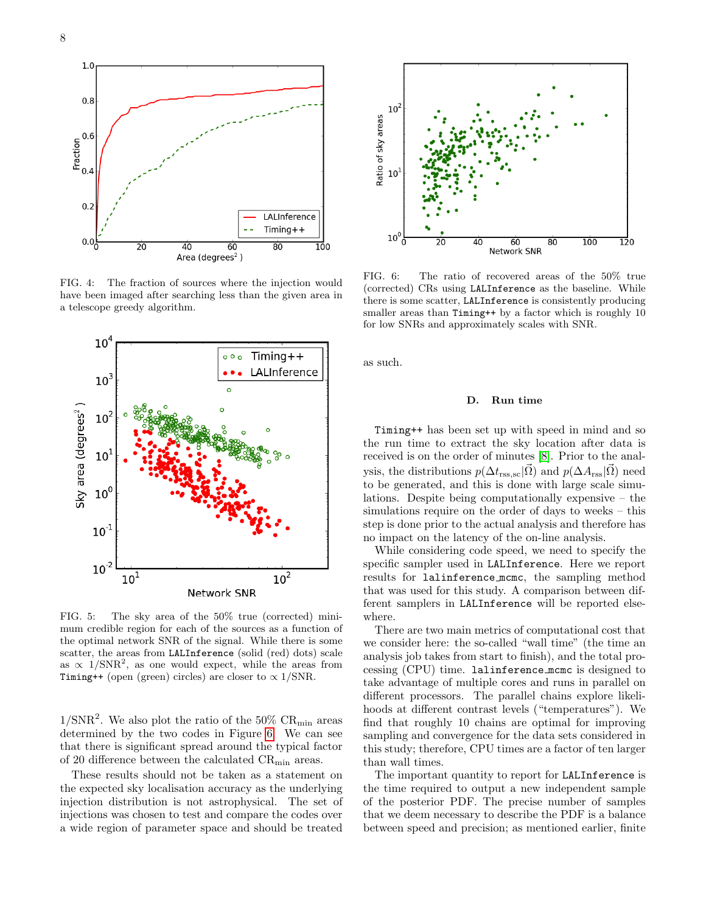

<span id="page-7-1"></span>FIG. 4: The fraction of sources where the injection would have been imaged after searching less than the given area in a telescope greedy algorithm.



<span id="page-7-2"></span>FIG. 5: The sky area of the 50% true (corrected) minimum credible region for each of the sources as a function of the optimal network SNR of the signal. While there is some scatter, the areas from LALInference (solid (red) dots) scale as  $\propto 1/\text{SNR}^2$ , as one would expect, while the areas from Timing++ (open (green) circles) are closer to  $\propto 1/\text{SNR}$ .

 $1/\text{SNR}^2$ . We also plot the ratio of the 50% CR<sub>min</sub> areas determined by the two codes in Figure [6.](#page-7-3) We can see that there is significant spread around the typical factor of 20 difference between the calculated  $CR_{\text{min}}$  areas.

These results should not be taken as a statement on the expected sky localisation accuracy as the underlying injection distribution is not astrophysical. The set of injections was chosen to test and compare the codes over a wide region of parameter space and should be treated



<span id="page-7-3"></span>FIG. 6: The ratio of recovered areas of the 50% true (corrected) CRs using LALInference as the baseline. While there is some scatter, LALInference is consistently producing smaller areas than Timing<sup>++</sup> by a factor which is roughly 10 for low SNRs and approximately scales with SNR.

as such.

### <span id="page-7-0"></span>D. Run time

Timing++ has been set up with speed in mind and so the run time to extract the sky location after data is received is on the order of minutes [\[8\]](#page-9-7). Prior to the analysis, the distributions  $p(\Delta t_{\rm rss,sc}|\vec{\Omega})$  and  $p(\Delta A_{\rm rss}|\vec{\Omega})$  need to be generated, and this is done with large scale simulations. Despite being computationally expensive – the simulations require on the order of days to weeks – this step is done prior to the actual analysis and therefore has no impact on the latency of the on-line analysis.

While considering code speed, we need to specify the specific sampler used in LALInference. Here we report results for lalinference mcmc, the sampling method that was used for this study. A comparison between different samplers in LALInference will be reported elsewhere.

There are two main metrics of computational cost that we consider here: the so-called "wall time" (the time an analysis job takes from start to finish), and the total processing (CPU) time. lalinference mcmc is designed to take advantage of multiple cores and runs in parallel on different processors. The parallel chains explore likelihoods at different contrast levels ("temperatures"). We find that roughly 10 chains are optimal for improving sampling and convergence for the data sets considered in this study; therefore, CPU times are a factor of ten larger than wall times.

The important quantity to report for LALInference is the time required to output a new independent sample of the posterior PDF. The precise number of samples that we deem necessary to describe the PDF is a balance between speed and precision; as mentioned earlier, finite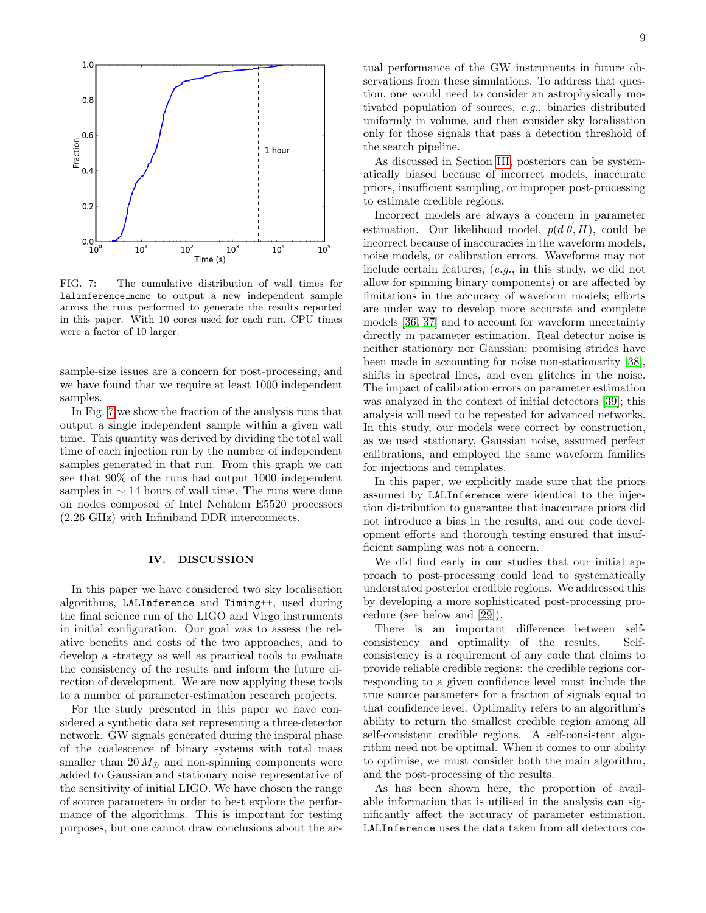

<span id="page-8-0"></span>FIG. 7: The cumulative distribution of wall times for lalinference mcmc to output a new independent sample across the runs performed to generate the results reported in this paper. With 10 cores used for each run, CPU times were a factor of 10 larger.

sample-size issues are a concern for post-processing, and we have found that we require at least 1000 independent samples.

In Fig. [7](#page-8-0) we show the fraction of the analysis runs that output a single independent sample within a given wall time. This quantity was derived by dividing the total wall time of each injection run by the number of independent samples generated in that run. From this graph we can see that 90% of the runs had output 1000 independent samples in  $\sim$  14 hours of wall time. The runs were done on nodes composed of Intel Nehalem E5520 processors (2.26 GHz) with Infiniband DDR interconnects.

### IV. DISCUSSION

In this paper we have considered two sky localisation algorithms, LALInference and Timing++, used during the final science run of the LIGO and Virgo instruments in initial configuration. Our goal was to assess the relative benefits and costs of the two approaches, and to develop a strategy as well as practical tools to evaluate the consistency of the results and inform the future direction of development. We are now applying these tools to a number of parameter-estimation research projects.

For the study presented in this paper we have considered a synthetic data set representing a three-detector network. GW signals generated during the inspiral phase of the coalescence of binary systems with total mass smaller than  $20 M_{\odot}$  and non-spinning components were added to Gaussian and stationary noise representative of the sensitivity of initial LIGO. We have chosen the range of source parameters in order to best explore the performance of the algorithms. This is important for testing purposes, but one cannot draw conclusions about the actual performance of the GW instruments in future observations from these simulations. To address that question, one would need to consider an astrophysically motivated population of sources, e.g., binaries distributed uniformly in volume, and then consider sky localisation only for those signals that pass a detection threshold of the search pipeline.

As discussed in Section [III,](#page-4-0) posteriors can be systematically biased because of incorrect models, inaccurate priors, insufficient sampling, or improper post-processing to estimate credible regions.

Incorrect models are always a concern in parameter estimation. Our likelihood model,  $p(d|\vec{\theta}, H)$ , could be incorrect because of inaccuracies in the waveform models, noise models, or calibration errors. Waveforms may not include certain features, (e.g., in this study, we did not allow for spinning binary components) or are affected by limitations in the accuracy of waveform models; efforts are under way to develop more accurate and complete models [\[36,](#page-10-17) [37\]](#page-10-18) and to account for waveform uncertainty directly in parameter estimation. Real detector noise is neither stationary nor Gaussian; promising strides have been made in accounting for noise non-stationarity [\[38\]](#page-10-19), shifts in spectral lines, and even glitches in the noise. The impact of calibration errors on parameter estimation was analyzed in the context of initial detectors [\[39\]](#page-10-20); this analysis will need to be repeated for advanced networks. In this study, our models were correct by construction, as we used stationary, Gaussian noise, assumed perfect calibrations, and employed the same waveform families for injections and templates.

In this paper, we explicitly made sure that the priors assumed by LALInference were identical to the injection distribution to guarantee that inaccurate priors did not introduce a bias in the results, and our code development efforts and thorough testing ensured that insufficient sampling was not a concern.

We did find early in our studies that our initial approach to post-processing could lead to systematically understated posterior credible regions. We addressed this by developing a more sophisticated post-processing procedure (see below and [\[29\]](#page-10-10)).

There is an important difference between selfconsistency and optimality of the results. Selfconsistency is a requirement of any code that claims to provide reliable credible regions: the credible regions corresponding to a given confidence level must include the true source parameters for a fraction of signals equal to that confidence level. Optimality refers to an algorithm's ability to return the smallest credible region among all self-consistent credible regions. A self-consistent algorithm need not be optimal. When it comes to our ability to optimise, we must consider both the main algorithm, and the post-processing of the results.

As has been shown here, the proportion of available information that is utilised in the analysis can significantly affect the accuracy of parameter estimation. LALInference uses the data taken from all detectors co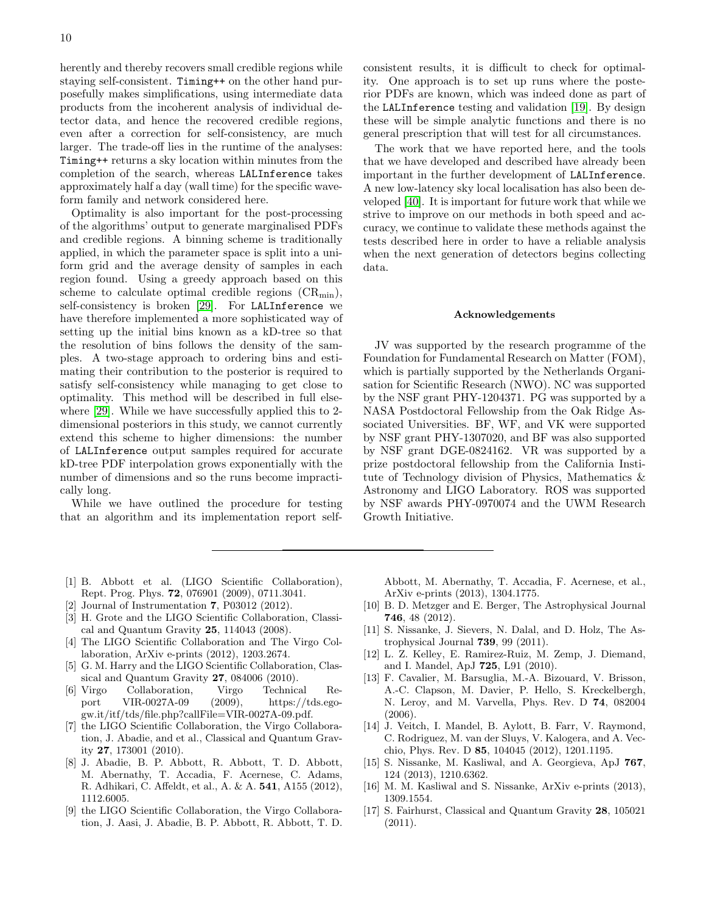herently and thereby recovers small credible regions while staying self-consistent. Timing++ on the other hand purposefully makes simplifications, using intermediate data products from the incoherent analysis of individual detector data, and hence the recovered credible regions, even after a correction for self-consistency, are much larger. The trade-off lies in the runtime of the analyses: Timing++ returns a sky location within minutes from the completion of the search, whereas LALInference takes approximately half a day (wall time) for the specific waveform family and network considered here.

Optimality is also important for the post-processing of the algorithms' output to generate marginalised PDFs and credible regions. A binning scheme is traditionally applied, in which the parameter space is split into a uniform grid and the average density of samples in each region found. Using a greedy approach based on this scheme to calculate optimal credible regions  $(CR_{min})$ , self-consistency is broken [\[29\]](#page-10-10). For LALInference we have therefore implemented a more sophisticated way of setting up the initial bins known as a kD-tree so that the resolution of bins follows the density of the samples. A two-stage approach to ordering bins and estimating their contribution to the posterior is required to satisfy self-consistency while managing to get close to optimality. This method will be described in full elsewhere [\[29\]](#page-10-10). While we have successfully applied this to 2 dimensional posteriors in this study, we cannot currently extend this scheme to higher dimensions: the number of LALInference output samples required for accurate kD-tree PDF interpolation grows exponentially with the number of dimensions and so the runs become impractically long.

While we have outlined the procedure for testing that an algorithm and its implementation report selfconsistent results, it is difficult to check for optimality. One approach is to set up runs where the posterior PDFs are known, which was indeed done as part of the LALInference testing and validation [\[19\]](#page-10-1). By design these will be simple analytic functions and there is no general prescription that will test for all circumstances.

The work that we have reported here, and the tools that we have developed and described have already been important in the further development of LALInference. A new low-latency sky local localisation has also been developed [\[40\]](#page-10-21). It is important for future work that while we strive to improve on our methods in both speed and accuracy, we continue to validate these methods against the tests described here in order to have a reliable analysis when the next generation of detectors begins collecting data.

### Acknowledgements

JV was supported by the research programme of the Foundation for Fundamental Research on Matter (FOM), which is partially supported by the Netherlands Organisation for Scientific Research (NWO). NC was supported by the NSF grant PHY-1204371. PG was supported by a NASA Postdoctoral Fellowship from the Oak Ridge Associated Universities. BF, WF, and VK were supported by NSF grant PHY-1307020, and BF was also supported by NSF grant DGE-0824162. VR was supported by a prize postdoctoral fellowship from the California Institute of Technology division of Physics, Mathematics & Astronomy and LIGO Laboratory. ROS was supported by NSF awards PHY-0970074 and the UWM Research Growth Initiative.

- <span id="page-9-0"></span>[1] B. Abbott et al. (LIGO Scientific Collaboration), Rept. Prog. Phys. 72, 076901 (2009), 0711.3041.
- <span id="page-9-1"></span>Journal of Instrumentation **7**, P03012 (2012).
- <span id="page-9-2"></span>[3] H. Grote and the LIGO Scientific Collaboration, Classical and Quantum Gravity 25, 114043 (2008).
- <span id="page-9-3"></span>[4] The LIGO Scientific Collaboration and The Virgo Collaboration, ArXiv e-prints (2012), 1203.2674.
- <span id="page-9-4"></span>[5] G. M. Harry and the LIGO Scientific Collaboration, Classical and Quantum Gravity 27, 084006 (2010).
- <span id="page-9-5"></span>[6] Virgo Collaboration, Virgo Technical Report VIR-0027A-09 (2009), https://tds.egogw.it/itf/tds/file.php?callFile=VIR-0027A-09.pdf.
- <span id="page-9-6"></span>[7] the LIGO Scientific Collaboration, the Virgo Collaboration, J. Abadie, and et al., Classical and Quantum Gravity 27, 173001 (2010).
- <span id="page-9-7"></span>[8] J. Abadie, B. P. Abbott, R. Abbott, T. D. Abbott, M. Abernathy, T. Accadia, F. Acernese, C. Adams, R. Adhikari, C. Affeldt, et al., A. & A. 541, A155 (2012), 1112.6005.
- <span id="page-9-8"></span>[9] the LIGO Scientific Collaboration, the Virgo Collaboration, J. Aasi, J. Abadie, B. P. Abbott, R. Abbott, T. D.

Abbott, M. Abernathy, T. Accadia, F. Acernese, et al., ArXiv e-prints (2013), 1304.1775.

- <span id="page-9-9"></span>[10] B. D. Metzger and E. Berger, The Astrophysical Journal 746, 48 (2012).
- [11] S. Nissanke, J. Sievers, N. Dalal, and D. Holz, The Astrophysical Journal 739, 99 (2011).
- <span id="page-9-10"></span>[12] L. Z. Kelley, E. Ramirez-Ruiz, M. Zemp, J. Diemand, and I. Mandel, ApJ 725, L91 (2010).
- <span id="page-9-11"></span>[13] F. Cavalier, M. Barsuglia, M.-A. Bizouard, V. Brisson, A.-C. Clapson, M. Davier, P. Hello, S. Kreckelbergh, N. Leroy, and M. Varvella, Phys. Rev. D 74, 082004 (2006).
- [14] J. Veitch, I. Mandel, B. Aylott, B. Farr, V. Raymond, C. Rodriguez, M. van der Sluys, V. Kalogera, and A. Vecchio, Phys. Rev. D 85, 104045 (2012), 1201.1195.
- [15] S. Nissanke, M. Kasliwal, and A. Georgieva, ApJ 767, 124 (2013), 1210.6362.
- [16] M. M. Kasliwal and S. Nissanke, ArXiv e-prints (2013), 1309.1554.
- [17] S. Fairhurst, Classical and Quantum Gravity 28, 105021 (2011).